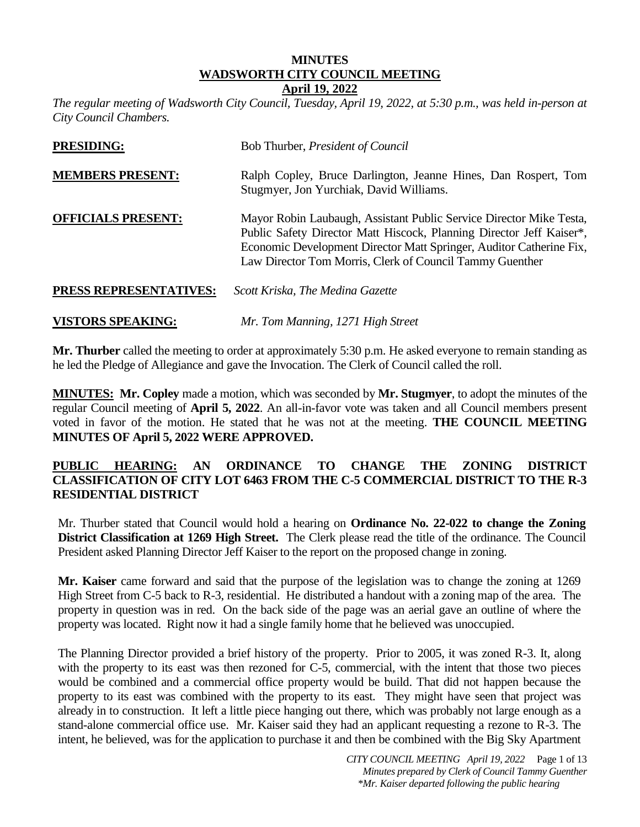#### **MINUTES WADSWORTH CITY COUNCIL MEETING April 19, 2022**

*The regular meeting of Wadsworth City Council, Tuesday, April 19, 2022, at 5:30 p.m., was held in-person at City Council Chambers.* 

| <b>PRESIDING:</b>         | Bob Thurber, President of Council                                                                                                                                                                                                                                              |
|---------------------------|--------------------------------------------------------------------------------------------------------------------------------------------------------------------------------------------------------------------------------------------------------------------------------|
| <b>MEMBERS PRESENT:</b>   | Ralph Copley, Bruce Darlington, Jeanne Hines, Dan Rospert, Tom<br>Stugmyer, Jon Yurchiak, David Williams.                                                                                                                                                                      |
| <b>OFFICIALS PRESENT:</b> | Mayor Robin Laubaugh, Assistant Public Service Director Mike Testa,<br>Public Safety Director Matt Hiscock, Planning Director Jeff Kaiser*,<br>Economic Development Director Matt Springer, Auditor Catherine Fix,<br>Law Director Tom Morris, Clerk of Council Tammy Guenther |
| PRESS REPRESENTATIVES:    | Scott Kriska, The Medina Gazette                                                                                                                                                                                                                                               |

**Mr. Thurber** called the meeting to order at approximately 5:30 p.m. He asked everyone to remain standing as he led the Pledge of Allegiance and gave the Invocation. The Clerk of Council called the roll.

**VISTORS SPEAKING:** *Mr. Tom Manning, 1271 High Street*

**MINUTES: Mr. Copley** made a motion, which was seconded by **Mr. Stugmyer**, to adopt the minutes of the regular Council meeting of **April 5, 2022**. An all-in-favor vote was taken and all Council members present voted in favor of the motion. He stated that he was not at the meeting. **THE COUNCIL MEETING MINUTES OF April 5, 2022 WERE APPROVED.**

## **PUBLIC HEARING: AN ORDINANCE TO CHANGE THE ZONING DISTRICT CLASSIFICATION OF CITY LOT 6463 FROM THE C-5 COMMERCIAL DISTRICT TO THE R-3 RESIDENTIAL DISTRICT**

Mr. Thurber stated that Council would hold a hearing on **Ordinance No. 22-022 to change the Zoning District Classification at 1269 High Street.** The Clerk please read the title of the ordinance. The Council President asked Planning Director Jeff Kaiser to the report on the proposed change in zoning.

**Mr. Kaiser** came forward and said that the purpose of the legislation was to change the zoning at 1269 High Street from C-5 back to R-3, residential. He distributed a handout with a zoning map of the area. The property in question was in red. On the back side of the page was an aerial gave an outline of where the property was located. Right now it had a single family home that he believed was unoccupied.

The Planning Director provided a brief history of the property. Prior to 2005, it was zoned R-3. It, along with the property to its east was then rezoned for C-5, commercial, with the intent that those two pieces would be combined and a commercial office property would be build. That did not happen because the property to its east was combined with the property to its east. They might have seen that project was already in to construction. It left a little piece hanging out there, which was probably not large enough as a stand-alone commercial office use. Mr. Kaiser said they had an applicant requesting a rezone to R-3. The intent, he believed, was for the application to purchase it and then be combined with the Big Sky Apartment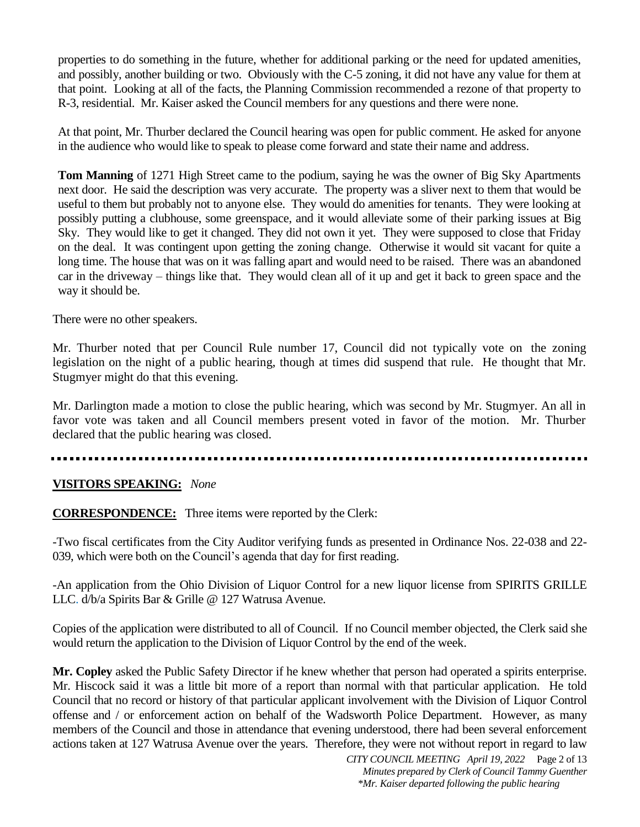properties to do something in the future, whether for additional parking or the need for updated amenities, and possibly, another building or two. Obviously with the C-5 zoning, it did not have any value for them at that point. Looking at all of the facts, the Planning Commission recommended a rezone of that property to R-3, residential. Mr. Kaiser asked the Council members for any questions and there were none.

At that point, Mr. Thurber declared the Council hearing was open for public comment. He asked for anyone in the audience who would like to speak to please come forward and state their name and address.

**Tom Manning** of 1271 High Street came to the podium, saying he was the owner of Big Sky Apartments next door. He said the description was very accurate. The property was a sliver next to them that would be useful to them but probably not to anyone else. They would do amenities for tenants. They were looking at possibly putting a clubhouse, some greenspace, and it would alleviate some of their parking issues at Big Sky. They would like to get it changed. They did not own it yet. They were supposed to close that Friday on the deal. It was contingent upon getting the zoning change. Otherwise it would sit vacant for quite a long time. The house that was on it was falling apart and would need to be raised. There was an abandoned car in the driveway – things like that. They would clean all of it up and get it back to green space and the way it should be.

There were no other speakers.

Mr. Thurber noted that per Council Rule number 17, Council did not typically vote on the zoning legislation on the night of a public hearing, though at times did suspend that rule. He thought that Mr. Stugmyer might do that this evening.

Mr. Darlington made a motion to close the public hearing, which was second by Mr. Stugmyer. An all in favor vote was taken and all Council members present voted in favor of the motion. Mr. Thurber declared that the public hearing was closed.

## **VISITORS SPEAKING:** *None*

**CORRESPONDENCE:** Three items were reported by the Clerk:

-Two fiscal certificates from the City Auditor verifying funds as presented in Ordinance Nos. 22-038 and 22- 039, which were both on the Council's agenda that day for first reading.

-An application from the Ohio Division of Liquor Control for a new liquor license from SPIRITS GRILLE LLC. d/b/a Spirits Bar & Grille @ 127 Watrusa Avenue.

Copies of the application were distributed to all of Council. If no Council member objected, the Clerk said she would return the application to the Division of Liquor Control by the end of the week.

**Mr. Copley** asked the Public Safety Director if he knew whether that person had operated a spirits enterprise. Mr. Hiscock said it was a little bit more of a report than normal with that particular application. He told Council that no record or history of that particular applicant involvement with the Division of Liquor Control offense and / or enforcement action on behalf of the Wadsworth Police Department. However, as many members of the Council and those in attendance that evening understood, there had been several enforcement actions taken at 127 Watrusa Avenue over the years. Therefore, they were not without report in regard to law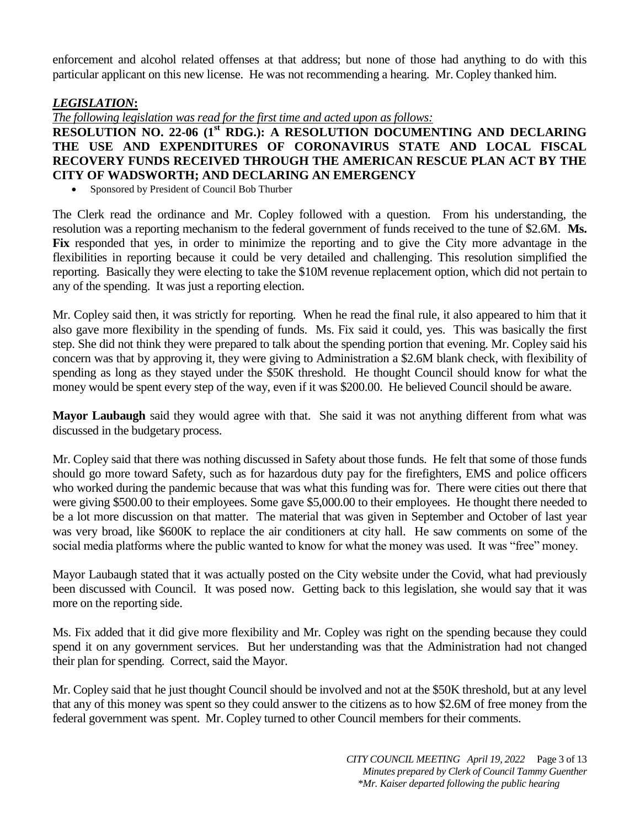enforcement and alcohol related offenses at that address; but none of those had anything to do with this particular applicant on this new license. He was not recommending a hearing. Mr. Copley thanked him.

## *LEGISLATION***:**

*The following legislation was read for the first time and acted upon as follows:*

## **RESOLUTION NO. 22-06 (1st RDG.): A RESOLUTION DOCUMENTING AND DECLARING THE USE AND EXPENDITURES OF CORONAVIRUS STATE AND LOCAL FISCAL RECOVERY FUNDS RECEIVED THROUGH THE AMERICAN RESCUE PLAN ACT BY THE CITY OF WADSWORTH; AND DECLARING AN EMERGENCY**

Sponsored by President of Council Bob Thurber

The Clerk read the ordinance and Mr. Copley followed with a question. From his understanding, the resolution was a reporting mechanism to the federal government of funds received to the tune of \$2.6M. **Ms. Fix** responded that yes, in order to minimize the reporting and to give the City more advantage in the flexibilities in reporting because it could be very detailed and challenging. This resolution simplified the reporting. Basically they were electing to take the \$10M revenue replacement option, which did not pertain to any of the spending. It was just a reporting election.

Mr. Copley said then, it was strictly for reporting. When he read the final rule, it also appeared to him that it also gave more flexibility in the spending of funds. Ms. Fix said it could, yes. This was basically the first step. She did not think they were prepared to talk about the spending portion that evening. Mr. Copley said his concern was that by approving it, they were giving to Administration a \$2.6M blank check, with flexibility of spending as long as they stayed under the \$50K threshold. He thought Council should know for what the money would be spent every step of the way, even if it was \$200.00. He believed Council should be aware.

**Mayor Laubaugh** said they would agree with that. She said it was not anything different from what was discussed in the budgetary process.

Mr. Copley said that there was nothing discussed in Safety about those funds. He felt that some of those funds should go more toward Safety, such as for hazardous duty pay for the firefighters, EMS and police officers who worked during the pandemic because that was what this funding was for. There were cities out there that were giving \$500.00 to their employees. Some gave \$5,000.00 to their employees. He thought there needed to be a lot more discussion on that matter. The material that was given in September and October of last year was very broad, like \$600K to replace the air conditioners at city hall. He saw comments on some of the social media platforms where the public wanted to know for what the money was used. It was "free" money.

Mayor Laubaugh stated that it was actually posted on the City website under the Covid, what had previously been discussed with Council. It was posed now. Getting back to this legislation, she would say that it was more on the reporting side.

Ms. Fix added that it did give more flexibility and Mr. Copley was right on the spending because they could spend it on any government services. But her understanding was that the Administration had not changed their plan for spending. Correct, said the Mayor.

Mr. Copley said that he just thought Council should be involved and not at the \$50K threshold, but at any level that any of this money was spent so they could answer to the citizens as to how \$2.6M of free money from the federal government was spent. Mr. Copley turned to other Council members for their comments.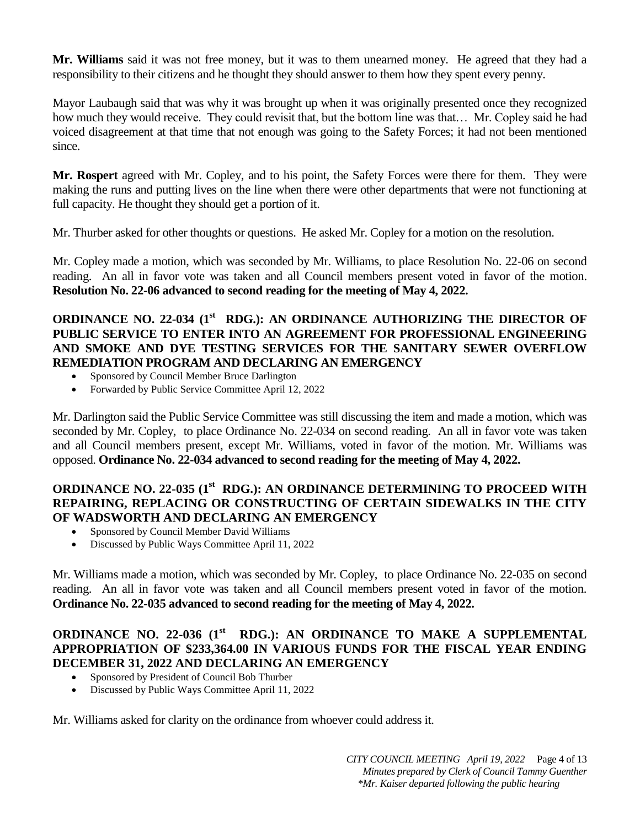**Mr. Williams** said it was not free money, but it was to them unearned money. He agreed that they had a responsibility to their citizens and he thought they should answer to them how they spent every penny.

Mayor Laubaugh said that was why it was brought up when it was originally presented once they recognized how much they would receive. They could revisit that, but the bottom line was that… Mr. Copley said he had voiced disagreement at that time that not enough was going to the Safety Forces; it had not been mentioned since.

**Mr. Rospert** agreed with Mr. Copley, and to his point, the Safety Forces were there for them. They were making the runs and putting lives on the line when there were other departments that were not functioning at full capacity. He thought they should get a portion of it.

Mr. Thurber asked for other thoughts or questions. He asked Mr. Copley for a motion on the resolution.

Mr. Copley made a motion, which was seconded by Mr. Williams, to place Resolution No. 22-06 on second reading. An all in favor vote was taken and all Council members present voted in favor of the motion. **Resolution No. 22-06 advanced to second reading for the meeting of May 4, 2022.**

## **ORDINANCE NO. 22-034 (1<sup>st</sup> RDG.): AN ORDINANCE AUTHORIZING THE DIRECTOR OF PUBLIC SERVICE TO ENTER INTO AN AGREEMENT FOR PROFESSIONAL ENGINEERING AND SMOKE AND DYE TESTING SERVICES FOR THE SANITARY SEWER OVERFLOW REMEDIATION PROGRAM AND DECLARING AN EMERGENCY**

- Sponsored by Council Member Bruce Darlington
- Forwarded by Public Service Committee April 12, 2022

Mr. Darlington said the Public Service Committee was still discussing the item and made a motion, which was seconded by Mr. Copley, to place Ordinance No. 22-034 on second reading. An all in favor vote was taken and all Council members present, except Mr. Williams, voted in favor of the motion. Mr. Williams was opposed. **Ordinance No. 22-034 advanced to second reading for the meeting of May 4, 2022.**

## **ORDINANCE NO. 22-035 (1st RDG.): AN ORDINANCE DETERMINING TO PROCEED WITH REPAIRING, REPLACING OR CONSTRUCTING OF CERTAIN SIDEWALKS IN THE CITY OF WADSWORTH AND DECLARING AN EMERGENCY**

- Sponsored by Council Member David Williams
- Discussed by Public Ways Committee April 11, 2022

Mr. Williams made a motion, which was seconded by Mr. Copley, to place Ordinance No. 22-035 on second reading. An all in favor vote was taken and all Council members present voted in favor of the motion. **Ordinance No. 22-035 advanced to second reading for the meeting of May 4, 2022.**

## **ORDINANCE NO. 22-036 (1<sup>st</sup> RDG.): AN ORDINANCE TO MAKE A SUPPLEMENTAL APPROPRIATION OF \$233,364.00 IN VARIOUS FUNDS FOR THE FISCAL YEAR ENDING DECEMBER 31, 2022 AND DECLARING AN EMERGENCY**

- Sponsored by President of Council Bob Thurber
- Discussed by Public Ways Committee April 11, 2022

Mr. Williams asked for clarity on the ordinance from whoever could address it.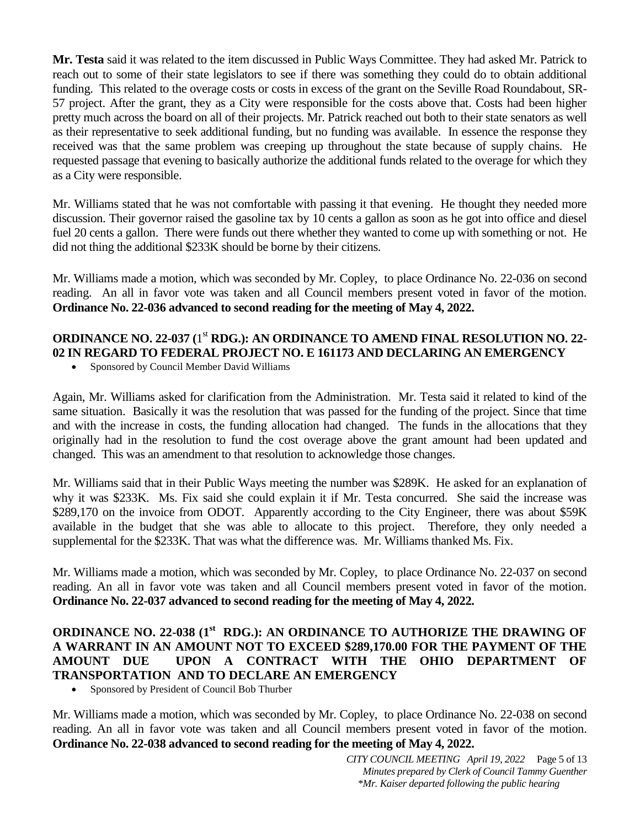**Mr. Testa** said it was related to the item discussed in Public Ways Committee. They had asked Mr. Patrick to reach out to some of their state legislators to see if there was something they could do to obtain additional funding. This related to the overage costs or costs in excess of the grant on the Seville Road Roundabout, SR-57 project. After the grant, they as a City were responsible for the costs above that. Costs had been higher pretty much across the board on all of their projects. Mr. Patrick reached out both to their state senators as well as their representative to seek additional funding, but no funding was available. In essence the response they received was that the same problem was creeping up throughout the state because of supply chains. He requested passage that evening to basically authorize the additional funds related to the overage for which they as a City were responsible.

Mr. Williams stated that he was not comfortable with passing it that evening. He thought they needed more discussion. Their governor raised the gasoline tax by 10 cents a gallon as soon as he got into office and diesel fuel 20 cents a gallon. There were funds out there whether they wanted to come up with something or not. He did not thing the additional \$233K should be borne by their citizens.

Mr. Williams made a motion, which was seconded by Mr. Copley, to place Ordinance No. 22-036 on second reading. An all in favor vote was taken and all Council members present voted in favor of the motion. **Ordinance No. 22-036 advanced to second reading for the meeting of May 4, 2022.**

# ORDINANCE NO. 22-037 (1<sup>st</sup> RDG.): AN ORDINANCE TO AMEND FINAL RESOLUTION NO. 22-**02 IN REGARD TO FEDERAL PROJECT NO. E 161173 AND DECLARING AN EMERGENCY**

Sponsored by Council Member David Williams

Again, Mr. Williams asked for clarification from the Administration. Mr. Testa said it related to kind of the same situation. Basically it was the resolution that was passed for the funding of the project. Since that time and with the increase in costs, the funding allocation had changed. The funds in the allocations that they originally had in the resolution to fund the cost overage above the grant amount had been updated and changed. This was an amendment to that resolution to acknowledge those changes.

Mr. Williams said that in their Public Ways meeting the number was \$289K. He asked for an explanation of why it was \$233K. Ms. Fix said she could explain it if Mr. Testa concurred. She said the increase was \$289,170 on the invoice from ODOT. Apparently according to the City Engineer, there was about \$59K available in the budget that she was able to allocate to this project. Therefore, they only needed a supplemental for the \$233K. That was what the difference was. Mr. Williams thanked Ms. Fix.

Mr. Williams made a motion, which was seconded by Mr. Copley, to place Ordinance No. 22-037 on second reading. An all in favor vote was taken and all Council members present voted in favor of the motion. **Ordinance No. 22-037 advanced to second reading for the meeting of May 4, 2022.**

# **ORDINANCE NO. 22-038 (1st RDG.): AN ORDINANCE TO AUTHORIZE THE DRAWING OF A WARRANT IN AN AMOUNT NOT TO EXCEED \$289,170.00 FOR THE PAYMENT OF THE AMOUNT DUE UPON A CONTRACT WITH THE OHIO DEPARTMENT OF TRANSPORTATION AND TO DECLARE AN EMERGENCY**

Sponsored by President of Council Bob Thurber

Mr. Williams made a motion, which was seconded by Mr. Copley, to place Ordinance No. 22-038 on second reading. An all in favor vote was taken and all Council members present voted in favor of the motion. **Ordinance No. 22-038 advanced to second reading for the meeting of May 4, 2022.**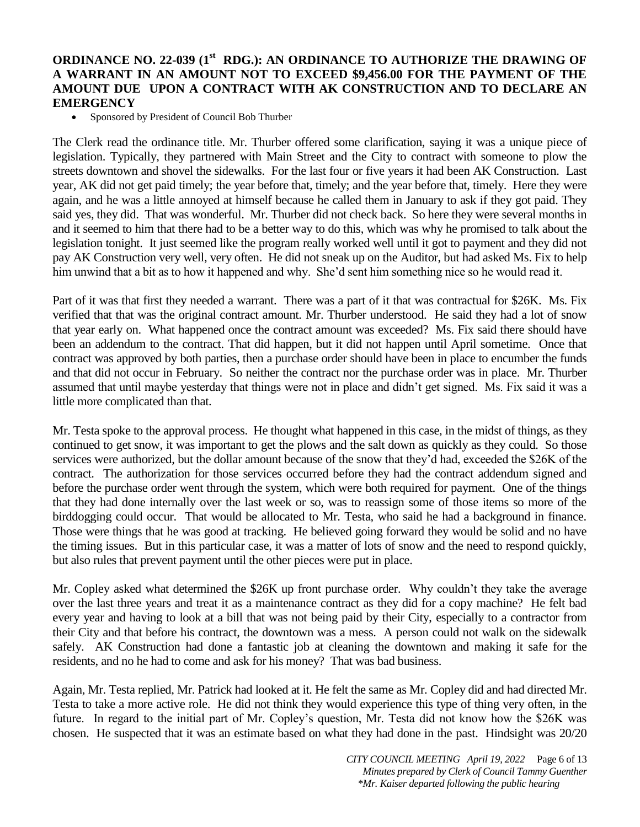## **ORDINANCE NO. 22-039 (1st RDG.): AN ORDINANCE TO AUTHORIZE THE DRAWING OF A WARRANT IN AN AMOUNT NOT TO EXCEED \$9,456.00 FOR THE PAYMENT OF THE AMOUNT DUE UPON A CONTRACT WITH AK CONSTRUCTION AND TO DECLARE AN EMERGENCY**

Sponsored by President of Council Bob Thurber

The Clerk read the ordinance title. Mr. Thurber offered some clarification, saying it was a unique piece of legislation. Typically, they partnered with Main Street and the City to contract with someone to plow the streets downtown and shovel the sidewalks. For the last four or five years it had been AK Construction. Last year, AK did not get paid timely; the year before that, timely; and the year before that, timely. Here they were again, and he was a little annoyed at himself because he called them in January to ask if they got paid. They said yes, they did. That was wonderful. Mr. Thurber did not check back. So here they were several months in and it seemed to him that there had to be a better way to do this, which was why he promised to talk about the legislation tonight. It just seemed like the program really worked well until it got to payment and they did not pay AK Construction very well, very often. He did not sneak up on the Auditor, but had asked Ms. Fix to help him unwind that a bit as to how it happened and why. She'd sent him something nice so he would read it.

Part of it was that first they needed a warrant. There was a part of it that was contractual for \$26K. Ms. Fix verified that that was the original contract amount. Mr. Thurber understood. He said they had a lot of snow that year early on. What happened once the contract amount was exceeded? Ms. Fix said there should have been an addendum to the contract. That did happen, but it did not happen until April sometime. Once that contract was approved by both parties, then a purchase order should have been in place to encumber the funds and that did not occur in February. So neither the contract nor the purchase order was in place. Mr. Thurber assumed that until maybe yesterday that things were not in place and didn't get signed. Ms. Fix said it was a little more complicated than that.

Mr. Testa spoke to the approval process. He thought what happened in this case, in the midst of things, as they continued to get snow, it was important to get the plows and the salt down as quickly as they could. So those services were authorized, but the dollar amount because of the snow that they'd had, exceeded the \$26K of the contract. The authorization for those services occurred before they had the contract addendum signed and before the purchase order went through the system, which were both required for payment. One of the things that they had done internally over the last week or so, was to reassign some of those items so more of the birddogging could occur. That would be allocated to Mr. Testa, who said he had a background in finance. Those were things that he was good at tracking. He believed going forward they would be solid and no have the timing issues. But in this particular case, it was a matter of lots of snow and the need to respond quickly, but also rules that prevent payment until the other pieces were put in place.

Mr. Copley asked what determined the \$26K up front purchase order. Why couldn't they take the average over the last three years and treat it as a maintenance contract as they did for a copy machine? He felt bad every year and having to look at a bill that was not being paid by their City, especially to a contractor from their City and that before his contract, the downtown was a mess. A person could not walk on the sidewalk safely. AK Construction had done a fantastic job at cleaning the downtown and making it safe for the residents, and no he had to come and ask for his money? That was bad business.

Again, Mr. Testa replied, Mr. Patrick had looked at it. He felt the same as Mr. Copley did and had directed Mr. Testa to take a more active role. He did not think they would experience this type of thing very often, in the future. In regard to the initial part of Mr. Copley's question, Mr. Testa did not know how the \$26K was chosen. He suspected that it was an estimate based on what they had done in the past. Hindsight was 20/20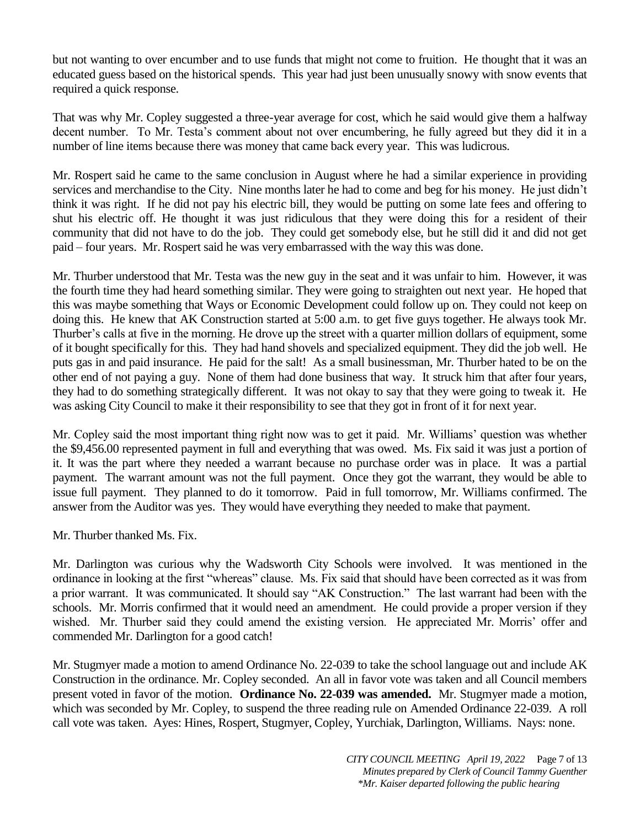but not wanting to over encumber and to use funds that might not come to fruition. He thought that it was an educated guess based on the historical spends. This year had just been unusually snowy with snow events that required a quick response.

That was why Mr. Copley suggested a three-year average for cost, which he said would give them a halfway decent number. To Mr. Testa's comment about not over encumbering, he fully agreed but they did it in a number of line items because there was money that came back every year. This was ludicrous.

Mr. Rospert said he came to the same conclusion in August where he had a similar experience in providing services and merchandise to the City. Nine months later he had to come and beg for his money. He just didn't think it was right. If he did not pay his electric bill, they would be putting on some late fees and offering to shut his electric off. He thought it was just ridiculous that they were doing this for a resident of their community that did not have to do the job. They could get somebody else, but he still did it and did not get paid – four years. Mr. Rospert said he was very embarrassed with the way this was done.

Mr. Thurber understood that Mr. Testa was the new guy in the seat and it was unfair to him. However, it was the fourth time they had heard something similar. They were going to straighten out next year. He hoped that this was maybe something that Ways or Economic Development could follow up on. They could not keep on doing this. He knew that AK Construction started at 5:00 a.m. to get five guys together. He always took Mr. Thurber's calls at five in the morning. He drove up the street with a quarter million dollars of equipment, some of it bought specifically for this. They had hand shovels and specialized equipment. They did the job well. He puts gas in and paid insurance. He paid for the salt! As a small businessman, Mr. Thurber hated to be on the other end of not paying a guy. None of them had done business that way. It struck him that after four years, they had to do something strategically different. It was not okay to say that they were going to tweak it. He was asking City Council to make it their responsibility to see that they got in front of it for next year.

Mr. Copley said the most important thing right now was to get it paid. Mr. Williams' question was whether the \$9,456.00 represented payment in full and everything that was owed. Ms. Fix said it was just a portion of it. It was the part where they needed a warrant because no purchase order was in place. It was a partial payment. The warrant amount was not the full payment. Once they got the warrant, they would be able to issue full payment. They planned to do it tomorrow. Paid in full tomorrow, Mr. Williams confirmed. The answer from the Auditor was yes. They would have everything they needed to make that payment.

Mr. Thurber thanked Ms. Fix.

Mr. Darlington was curious why the Wadsworth City Schools were involved. It was mentioned in the ordinance in looking at the first "whereas" clause. Ms. Fix said that should have been corrected as it was from a prior warrant. It was communicated. It should say "AK Construction." The last warrant had been with the schools. Mr. Morris confirmed that it would need an amendment. He could provide a proper version if they wished. Mr. Thurber said they could amend the existing version. He appreciated Mr. Morris' offer and commended Mr. Darlington for a good catch!

Mr. Stugmyer made a motion to amend Ordinance No. 22-039 to take the school language out and include AK Construction in the ordinance. Mr. Copley seconded. An all in favor vote was taken and all Council members present voted in favor of the motion. **Ordinance No. 22-039 was amended.** Mr. Stugmyer made a motion, which was seconded by Mr. Copley, to suspend the three reading rule on Amended Ordinance 22-039. A roll call vote was taken. Ayes: Hines, Rospert, Stugmyer, Copley, Yurchiak, Darlington, Williams. Nays: none.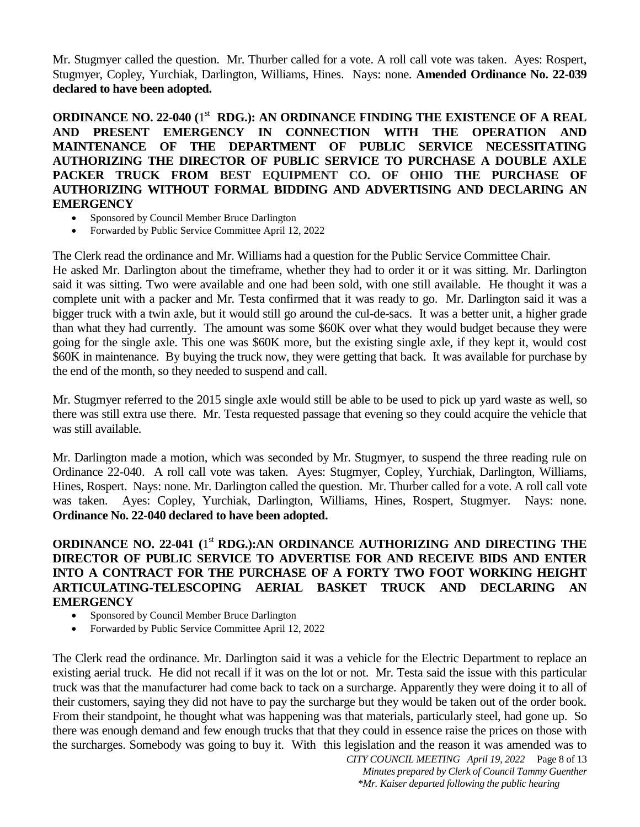Mr. Stugmyer called the question. Mr. Thurber called for a vote. A roll call vote was taken. Ayes: Rospert, Stugmyer, Copley, Yurchiak, Darlington, Williams, Hines. Nays: none. **Amended Ordinance No. 22-039 declared to have been adopted.**

**ORDINANCE NO. 22-040 (1<sup>st</sup> RDG.): AN ORDINANCE FINDING THE EXISTENCE OF A REAL AND PRESENT EMERGENCY IN CONNECTION WITH THE OPERATION AND MAINTENANCE OF THE DEPARTMENT OF PUBLIC SERVICE NECESSITATING AUTHORIZING THE DIRECTOR OF PUBLIC SERVICE TO PURCHASE A DOUBLE AXLE PACKER TRUCK FROM BEST EQUIPMENT CO. OF OHIO THE PURCHASE OF AUTHORIZING WITHOUT FORMAL BIDDING AND ADVERTISING AND DECLARING AN EMERGENCY**

- Sponsored by Council Member Bruce Darlington
- Forwarded by Public Service Committee April 12, 2022

The Clerk read the ordinance and Mr. Williams had a question for the Public Service Committee Chair. He asked Mr. Darlington about the timeframe, whether they had to order it or it was sitting. Mr. Darlington said it was sitting. Two were available and one had been sold, with one still available. He thought it was a complete unit with a packer and Mr. Testa confirmed that it was ready to go. Mr. Darlington said it was a bigger truck with a twin axle, but it would still go around the cul-de-sacs. It was a better unit, a higher grade than what they had currently. The amount was some \$60K over what they would budget because they were going for the single axle. This one was \$60K more, but the existing single axle, if they kept it, would cost \$60K in maintenance. By buying the truck now, they were getting that back. It was available for purchase by the end of the month, so they needed to suspend and call.

Mr. Stugmyer referred to the 2015 single axle would still be able to be used to pick up yard waste as well, so there was still extra use there. Mr. Testa requested passage that evening so they could acquire the vehicle that was still available.

Mr. Darlington made a motion, which was seconded by Mr. Stugmyer, to suspend the three reading rule on Ordinance 22-040. A roll call vote was taken. Ayes: Stugmyer, Copley, Yurchiak, Darlington, Williams, Hines, Rospert. Nays: none. Mr. Darlington called the question. Mr. Thurber called for a vote. A roll call vote was taken. Ayes: Copley, Yurchiak, Darlington, Williams, Hines, Rospert, Stugmyer. Nays: none. **Ordinance No. 22-040 declared to have been adopted.**

## ORDINANCE NO. 22-041 (1<sup>st</sup> RDG.):AN ORDINANCE AUTHORIZING AND DIRECTING THE **DIRECTOR OF PUBLIC SERVICE TO ADVERTISE FOR AND RECEIVE BIDS AND ENTER INTO A CONTRACT FOR THE PURCHASE OF A FORTY TWO FOOT WORKING HEIGHT ARTICULATING-TELESCOPING AERIAL BASKET TRUCK AND DECLARING AN EMERGENCY**

- Sponsored by Council Member Bruce Darlington
- Forwarded by Public Service Committee April 12, 2022

The Clerk read the ordinance. Mr. Darlington said it was a vehicle for the Electric Department to replace an existing aerial truck. He did not recall if it was on the lot or not. Mr. Testa said the issue with this particular truck was that the manufacturer had come back to tack on a surcharge. Apparently they were doing it to all of their customers, saying they did not have to pay the surcharge but they would be taken out of the order book. From their standpoint, he thought what was happening was that materials, particularly steel, had gone up. So there was enough demand and few enough trucks that that they could in essence raise the prices on those with the surcharges. Somebody was going to buy it. With this legislation and the reason it was amended was to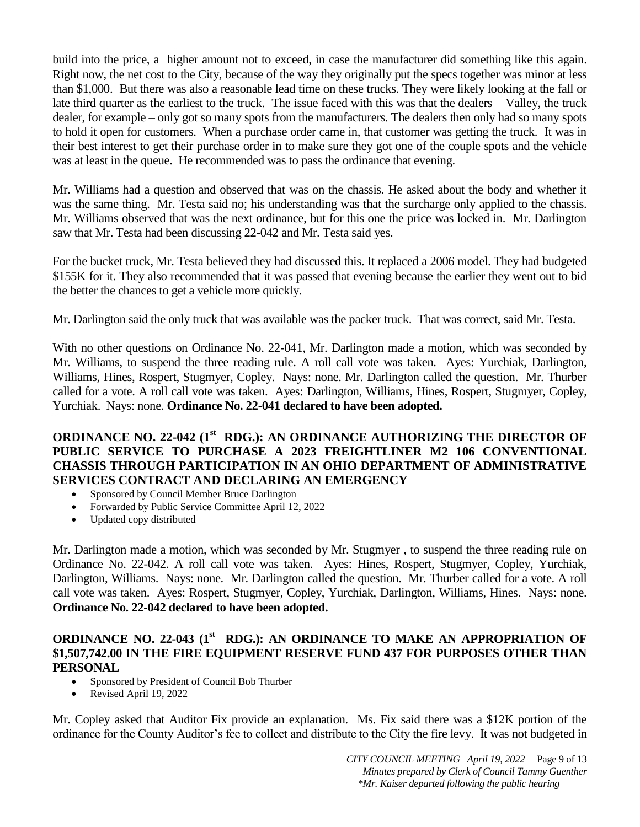build into the price, a higher amount not to exceed, in case the manufacturer did something like this again. Right now, the net cost to the City, because of the way they originally put the specs together was minor at less than \$1,000. But there was also a reasonable lead time on these trucks. They were likely looking at the fall or late third quarter as the earliest to the truck. The issue faced with this was that the dealers – Valley, the truck dealer, for example – only got so many spots from the manufacturers. The dealers then only had so many spots to hold it open for customers. When a purchase order came in, that customer was getting the truck. It was in their best interest to get their purchase order in to make sure they got one of the couple spots and the vehicle was at least in the queue. He recommended was to pass the ordinance that evening.

Mr. Williams had a question and observed that was on the chassis. He asked about the body and whether it was the same thing. Mr. Testa said no; his understanding was that the surcharge only applied to the chassis. Mr. Williams observed that was the next ordinance, but for this one the price was locked in. Mr. Darlington saw that Mr. Testa had been discussing 22-042 and Mr. Testa said yes.

For the bucket truck, Mr. Testa believed they had discussed this. It replaced a 2006 model. They had budgeted \$155K for it. They also recommended that it was passed that evening because the earlier they went out to bid the better the chances to get a vehicle more quickly.

Mr. Darlington said the only truck that was available was the packer truck. That was correct, said Mr. Testa.

With no other questions on Ordinance No. 22-041, Mr. Darlington made a motion, which was seconded by Mr. Williams, to suspend the three reading rule. A roll call vote was taken. Ayes: Yurchiak, Darlington, Williams, Hines, Rospert, Stugmyer, Copley. Nays: none. Mr. Darlington called the question. Mr. Thurber called for a vote. A roll call vote was taken. Ayes: Darlington, Williams, Hines, Rospert, Stugmyer, Copley, Yurchiak. Nays: none. **Ordinance No. 22-041 declared to have been adopted.**

# **ORDINANCE NO. 22-042 (1st RDG.): AN ORDINANCE AUTHORIZING THE DIRECTOR OF PUBLIC SERVICE TO PURCHASE A 2023 FREIGHTLINER M2 106 CONVENTIONAL CHASSIS THROUGH PARTICIPATION IN AN OHIO DEPARTMENT OF ADMINISTRATIVE SERVICES CONTRACT AND DECLARING AN EMERGENCY**

- Sponsored by Council Member Bruce Darlington
- Forwarded by Public Service Committee April 12, 2022
- Updated copy distributed

Mr. Darlington made a motion, which was seconded by Mr. Stugmyer , to suspend the three reading rule on Ordinance No. 22-042. A roll call vote was taken. Ayes: Hines, Rospert, Stugmyer, Copley, Yurchiak, Darlington, Williams. Nays: none. Mr. Darlington called the question. Mr. Thurber called for a vote. A roll call vote was taken. Ayes: Rospert, Stugmyer, Copley, Yurchiak, Darlington, Williams, Hines. Nays: none. **Ordinance No. 22-042 declared to have been adopted.**

## **ORDINANCE NO. 22-043 (1<sup>st</sup> RDG.): AN ORDINANCE TO MAKE AN APPROPRIATION OF \$1,507,742.00 IN THE FIRE EQUIPMENT RESERVE FUND 437 FOR PURPOSES OTHER THAN PERSONAL**

- Sponsored by President of Council Bob Thurber
- Revised April 19, 2022

Mr. Copley asked that Auditor Fix provide an explanation. Ms. Fix said there was a \$12K portion of the ordinance for the County Auditor's fee to collect and distribute to the City the fire levy. It was not budgeted in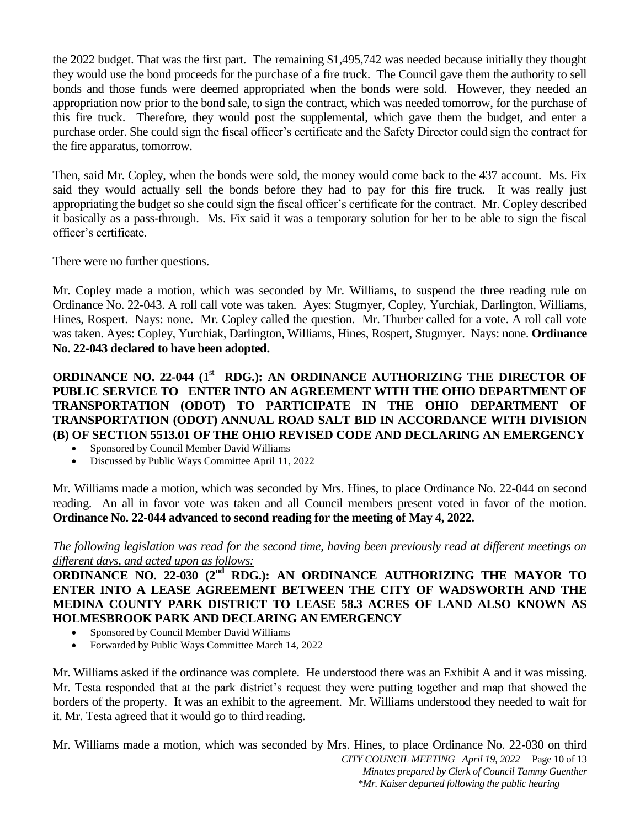the 2022 budget. That was the first part. The remaining \$1,495,742 was needed because initially they thought they would use the bond proceeds for the purchase of a fire truck. The Council gave them the authority to sell bonds and those funds were deemed appropriated when the bonds were sold. However, they needed an appropriation now prior to the bond sale, to sign the contract, which was needed tomorrow, for the purchase of this fire truck. Therefore, they would post the supplemental, which gave them the budget, and enter a purchase order. She could sign the fiscal officer's certificate and the Safety Director could sign the contract for the fire apparatus, tomorrow.

Then, said Mr. Copley, when the bonds were sold, the money would come back to the 437 account. Ms. Fix said they would actually sell the bonds before they had to pay for this fire truck. It was really just appropriating the budget so she could sign the fiscal officer's certificate for the contract. Mr. Copley described it basically as a pass-through. Ms. Fix said it was a temporary solution for her to be able to sign the fiscal officer's certificate.

There were no further questions.

Mr. Copley made a motion, which was seconded by Mr. Williams, to suspend the three reading rule on Ordinance No. 22-043. A roll call vote was taken. Ayes: Stugmyer, Copley, Yurchiak, Darlington, Williams, Hines, Rospert. Nays: none. Mr. Copley called the question. Mr. Thurber called for a vote. A roll call vote was taken. Ayes: Copley, Yurchiak, Darlington, Williams, Hines, Rospert, Stugmyer. Nays: none. **Ordinance No. 22-043 declared to have been adopted.**

## **ORDINANCE NO. 22-044 (1<sup>st</sup> RDG.): AN ORDINANCE AUTHORIZING THE DIRECTOR OF PUBLIC SERVICE TO ENTER INTO AN AGREEMENT WITH THE OHIO DEPARTMENT OF TRANSPORTATION (ODOT) TO PARTICIPATE IN THE OHIO DEPARTMENT OF TRANSPORTATION (ODOT) ANNUAL ROAD SALT BID IN ACCORDANCE WITH DIVISION (B) OF SECTION 5513.01 OF THE OHIO REVISED CODE AND DECLARING AN EMERGENCY**

- Sponsored by Council Member David Williams
- Discussed by Public Ways Committee April 11, 2022

Mr. Williams made a motion, which was seconded by Mrs. Hines, to place Ordinance No. 22-044 on second reading. An all in favor vote was taken and all Council members present voted in favor of the motion. **Ordinance No. 22-044 advanced to second reading for the meeting of May 4, 2022.**

#### *The following legislation was read for the second time, having been previously read at different meetings on different days, and acted upon as follows:*

**ORDINANCE NO. 22-030 (2<sup>nd</sup> RDG.): AN ORDINANCE AUTHORIZING THE MAYOR TO ENTER INTO A LEASE AGREEMENT BETWEEN THE CITY OF WADSWORTH AND THE MEDINA COUNTY PARK DISTRICT TO LEASE 58.3 ACRES OF LAND ALSO KNOWN AS HOLMESBROOK PARK AND DECLARING AN EMERGENCY**

- Sponsored by Council Member David Williams
- Forwarded by Public Ways Committee March 14, 2022

Mr. Williams asked if the ordinance was complete. He understood there was an Exhibit A and it was missing. Mr. Testa responded that at the park district's request they were putting together and map that showed the borders of the property. It was an exhibit to the agreement. Mr. Williams understood they needed to wait for it. Mr. Testa agreed that it would go to third reading.

*CITY COUNCIL MEETING April 19, 2022* Page 10 of 13 *Minutes prepared by Clerk of Council Tammy Guenther \*Mr. Kaiser departed following the public hearing* Mr. Williams made a motion, which was seconded by Mrs. Hines, to place Ordinance No. 22-030 on third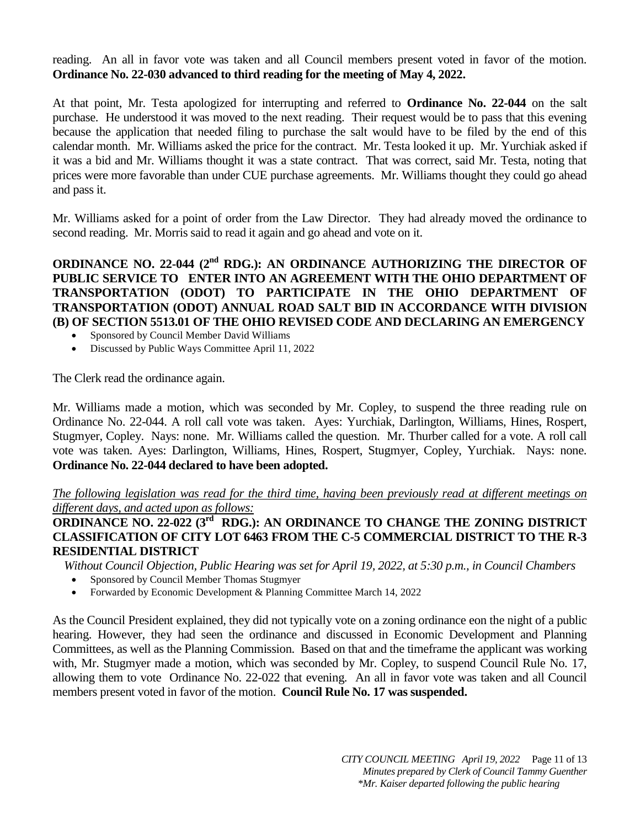reading. An all in favor vote was taken and all Council members present voted in favor of the motion. **Ordinance No. 22-030 advanced to third reading for the meeting of May 4, 2022.**

At that point, Mr. Testa apologized for interrupting and referred to **Ordinance No. 22-044** on the salt purchase. He understood it was moved to the next reading. Their request would be to pass that this evening because the application that needed filing to purchase the salt would have to be filed by the end of this calendar month. Mr. Williams asked the price for the contract. Mr. Testa looked it up. Mr. Yurchiak asked if it was a bid and Mr. Williams thought it was a state contract. That was correct, said Mr. Testa, noting that prices were more favorable than under CUE purchase agreements. Mr. Williams thought they could go ahead and pass it.

Mr. Williams asked for a point of order from the Law Director. They had already moved the ordinance to second reading. Mr. Morris said to read it again and go ahead and vote on it.

**ORDINANCE NO. 22-044 (2<sup>nd</sup> RDG.): AN ORDINANCE AUTHORIZING THE DIRECTOR OF PUBLIC SERVICE TO ENTER INTO AN AGREEMENT WITH THE OHIO DEPARTMENT OF TRANSPORTATION (ODOT) TO PARTICIPATE IN THE OHIO DEPARTMENT OF TRANSPORTATION (ODOT) ANNUAL ROAD SALT BID IN ACCORDANCE WITH DIVISION (B) OF SECTION 5513.01 OF THE OHIO REVISED CODE AND DECLARING AN EMERGENCY**

- Sponsored by Council Member David Williams
- Discussed by Public Ways Committee April 11, 2022

The Clerk read the ordinance again.

Mr. Williams made a motion, which was seconded by Mr. Copley, to suspend the three reading rule on Ordinance No. 22-044. A roll call vote was taken. Ayes: Yurchiak, Darlington, Williams, Hines, Rospert, Stugmyer, Copley. Nays: none. Mr. Williams called the question. Mr. Thurber called for a vote. A roll call vote was taken. Ayes: Darlington, Williams, Hines, Rospert, Stugmyer, Copley, Yurchiak. Nays: none. **Ordinance No. 22-044 declared to have been adopted.**

*The following legislation was read for the third time, having been previously read at different meetings on different days, and acted upon as follows:* 

**ORDINANCE NO. 22-022 (3<sup>rd</sup> RDG.): AN ORDINANCE TO CHANGE THE ZONING DISTRICT CLASSIFICATION OF CITY LOT 6463 FROM THE C-5 COMMERCIAL DISTRICT TO THE R-3 RESIDENTIAL DISTRICT** 

*Without Council Objection, Public Hearing was set for April 19, 2022, at 5:30 p.m., in Council Chambers* 

- Sponsored by Council Member Thomas Stugmyer
- Forwarded by Economic Development & Planning Committee March 14, 2022

As the Council President explained, they did not typically vote on a zoning ordinance eon the night of a public hearing. However, they had seen the ordinance and discussed in Economic Development and Planning Committees, as well as the Planning Commission. Based on that and the timeframe the applicant was working with, Mr. Stugmyer made a motion, which was seconded by Mr. Copley, to suspend Council Rule No. 17, allowing them to vote Ordinance No. 22-022 that evening. An all in favor vote was taken and all Council members present voted in favor of the motion. **Council Rule No. 17 was suspended.**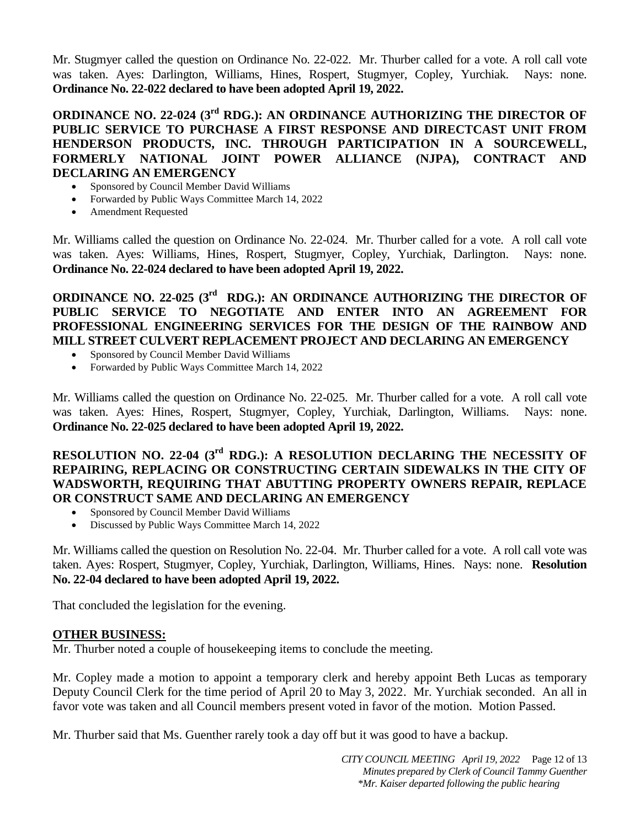Mr. Stugmyer called the question on Ordinance No. 22-022. Mr. Thurber called for a vote. A roll call vote was taken. Ayes: Darlington, Williams, Hines, Rospert, Stugmyer, Copley, Yurchiak. Nays: none. **Ordinance No. 22-022 declared to have been adopted April 19, 2022.**

**ORDINANCE NO. 22-024 (3<sup>rd</sup> RDG.): AN ORDINANCE AUTHORIZING THE DIRECTOR OF PUBLIC SERVICE TO PURCHASE A FIRST RESPONSE AND DIRECTCAST UNIT FROM HENDERSON PRODUCTS, INC. THROUGH PARTICIPATION IN A SOURCEWELL, FORMERLY NATIONAL JOINT POWER ALLIANCE (NJPA), CONTRACT AND DECLARING AN EMERGENCY** 

- Sponsored by Council Member David Williams
- Forwarded by Public Ways Committee March 14, 2022
- Amendment Requested

Mr. Williams called the question on Ordinance No. 22-024. Mr. Thurber called for a vote. A roll call vote was taken. Ayes: Williams, Hines, Rospert, Stugmyer, Copley, Yurchiak, Darlington. Nays: none. **Ordinance No. 22-024 declared to have been adopted April 19, 2022.**

**ORDINANCE NO. 22-025 (3<sup>rd</sup> RDG.): AN ORDINANCE AUTHORIZING THE DIRECTOR OF PUBLIC SERVICE TO NEGOTIATE AND ENTER INTO AN AGREEMENT FOR PROFESSIONAL ENGINEERING SERVICES FOR THE DESIGN OF THE RAINBOW AND MILL STREET CULVERT REPLACEMENT PROJECT AND DECLARING AN EMERGENCY** 

- Sponsored by Council Member David Williams
- Forwarded by Public Ways Committee March 14, 2022

Mr. Williams called the question on Ordinance No. 22-025. Mr. Thurber called for a vote. A roll call vote was taken. Ayes: Hines, Rospert, Stugmyer, Copley, Yurchiak, Darlington, Williams. Nays: none. **Ordinance No. 22-025 declared to have been adopted April 19, 2022.**

## **RESOLUTION NO. 22-04 (3<sup>rd</sup> RDG.): A RESOLUTION DECLARING THE NECESSITY OF REPAIRING, REPLACING OR CONSTRUCTING CERTAIN SIDEWALKS IN THE CITY OF WADSWORTH, REQUIRING THAT ABUTTING PROPERTY OWNERS REPAIR, REPLACE OR CONSTRUCT SAME AND DECLARING AN EMERGENCY**

- Sponsored by Council Member David Williams
- Discussed by Public Ways Committee March 14, 2022

Mr. Williams called the question on Resolution No. 22-04. Mr. Thurber called for a vote. A roll call vote was taken. Ayes: Rospert, Stugmyer, Copley, Yurchiak, Darlington, Williams, Hines. Nays: none. **Resolution No. 22-04 declared to have been adopted April 19, 2022.**

That concluded the legislation for the evening.

#### **OTHER BUSINESS:**

Mr. Thurber noted a couple of housekeeping items to conclude the meeting.

Mr. Copley made a motion to appoint a temporary clerk and hereby appoint Beth Lucas as temporary Deputy Council Clerk for the time period of April 20 to May 3, 2022. Mr. Yurchiak seconded. An all in favor vote was taken and all Council members present voted in favor of the motion. Motion Passed.

Mr. Thurber said that Ms. Guenther rarely took a day off but it was good to have a backup.